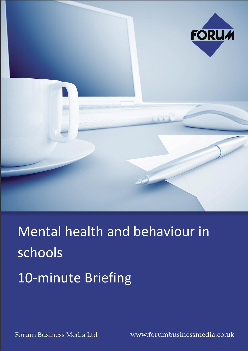

Mental health and behaviour in schools 10-minute Briefing

Forum Business Media Ltd

www.forumbusinessmedia.co.uk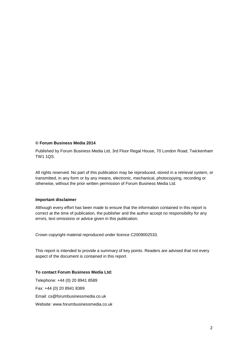#### **© Forum Business Media 2014**

Published by Forum Business Media Ltd, 3rd Floor Regal House, 70 London Road, Twickenham TW1 1QS.

All rights reserved. No part of this publication may be reproduced, stored in a retrieval system, or transmitted, in any form or by any means, electronic, mechanical, photocopying, recording or otherwise, without the prior written permission of Forum Business Media Ltd.

#### **Important disclaimer**

Although every effort has been made to ensure that the information contained in this report is correct at the time of publication, the publisher and the author accept no responsibility for any errors, text omissions or advice given in this publication.

Crown copyright material reproduced under licence C2009002533.

This report is intended to provide a summary of key points. Readers are advised that not every aspect of the document is contained in this report.

#### **To contact Forum Business Media Ltd:**

Telephone: +44 (0) 20 8941 8589 Fax: +44 (0) 20 8941 8389 Email: [cs@forumbusinessmedia.co.uk](mailto:cs@forumbusinessmedia.co.uk) Website: [www.forumbusinessmedia.co.uk](http://www.forumbusinessmedia.co.uk/)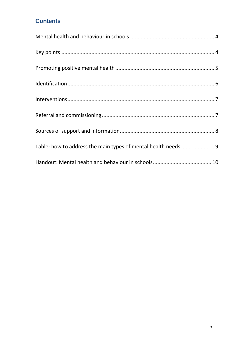## **Contents**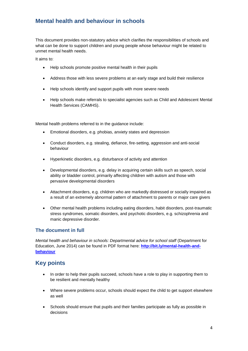## <span id="page-3-0"></span>**Mental health and behaviour in schools**

This document provides non-statutory advice which clarifies the responsibilities of schools and what can be done to support children and young people whose behaviour might be related to unmet mental health needs.

It aims to:

- Help schools promote positive mental health in their pupils
- Address those with less severe problems at an early stage and build their resilience
- Help schools identify and support pupils with more severe needs
- Help schools make referrals to specialist agencies such as Child and Adolescent Mental Health Services (CAMHS).

Mental health problems referred to in the guidance include:

- Emotional disorders, e.g. phobias, anxiety states and depression
- Conduct disorders, e.g. stealing, defiance, fire-setting, aggression and anti-social behaviour
- Hyperkinetic disorders, e.g. disturbance of activity and attention
- Developmental disorders, e.g. delay in acquiring certain skills such as speech, social ability or bladder control, primarily affecting children with autism and those with pervasive developmental disorders
- Attachment disorders, e.g. children who are markedly distressed or socially impaired as a result of an extremely abnormal pattern of attachment to parents or major care givers
- Other mental health problems including eating disorders, habit disorders, post-traumatic stress syndromes, somatic disorders, and psychotic disorders, e.g. schizophrenia and manic depressive disorder.

#### **The document in full**

*Mental health and behaviour in schools: Departmental advice for school staff* (Department for Education, June 2014) can be found in PDF format here: **[http://bit.ly/mental-health-and](http://bit.ly/mental-health-and-behaviour)[behaviour](http://bit.ly/mental-health-and-behaviour)**

### <span id="page-3-1"></span>**Key points**

- In order to help their pupils succeed, schools have a role to play in supporting them to be resilient and mentally healthy
- Where severe problems occur, schools should expect the child to get support elsewhere as well
- Schools should ensure that pupils and their families participate as fully as possible in decisions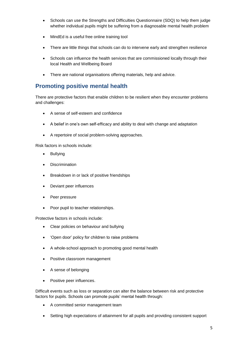- Schools can use the Strengths and Difficulties Questionnaire (SDQ) to help them judge whether individual pupils might be suffering from a diagnosable mental health problem
- MindEd is a useful free online training tool
- There are little things that schools can do to intervene early and strengthen resilience
- Schools can influence the health services that are commissioned locally through their local Health and Wellbeing Board
- There are national organisations offering materials, help and advice.

### <span id="page-4-0"></span>**Promoting positive mental health**

There are protective factors that enable children to be resilient when they encounter problems and challenges:

- A sense of self-esteem and confidence
- A belief in one's own self-efficacy and ability to deal with change and adaptation
- A repertoire of social problem-solving approaches.

Risk factors in schools include:

- Bullying
- Discrimination
- Breakdown in or lack of positive friendships
- Deviant peer influences
- Peer pressure
- Poor pupil to teacher relationships.

Protective factors in schools include:

- Clear policies on behaviour and bullying
- 'Open door' policy for children to raise problems
- A whole-school approach to promoting good mental health
- Positive classroom management
- A sense of belonging
- Positive peer influences.

Difficult events such as loss or separation can alter the balance between risk and protective factors for pupils. Schools can promote pupils' mental health through:

- A committed senior management team
- Setting high expectations of attainment for all pupils and providing consistent support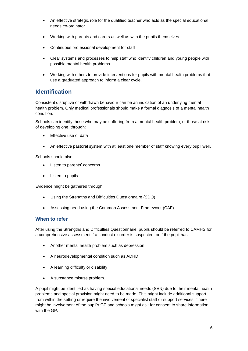- An effective strategic role for the qualified teacher who acts as the special educational needs co-ordinator
- Working with parents and carers as well as with the pupils themselves
- Continuous professional development for staff
- Clear systems and processes to help staff who identify children and young people with possible mental health problems
- Working with others to provide interventions for pupils with mental health problems that use a graduated approach to inform a clear cycle.

### <span id="page-5-0"></span>**Identification**

Consistent disruptive or withdrawn behaviour can be an indication of an underlying mental health problem. Only medical professionals should make a formal diagnosis of a mental health condition.

Schools can identify those who may be suffering from a mental health problem, or those at risk of developing one, through:

- Effective use of data
- An effective pastoral system with at least one member of staff knowing every pupil well.

Schools should also:

- Listen to parents' concerns
- Listen to pupils.

Evidence might be gathered through:

- Using the Strengths and Difficulties Questionnaire (SDQ)
- Assessing need using the Common Assessment Framework (CAF).

#### **When to refer**

After using the Strengths and Difficulties Questionnaire, pupils should be referred to CAMHS for a comprehensive assessment if a conduct disorder is suspected, or if the pupil has:

- Another mental health problem such as depression
- A neurodevelopmental condition such as ADHD
- A learning difficulty or disability
- A substance misuse problem.

A pupil might be identified as having special educational needs (SEN) due to their mental health problems and special provision might need to be made. This might include additional support from within the setting or require the involvement of specialist staff or support services. There might be involvement of the pupil's GP and schools might ask for consent to share information with the GP.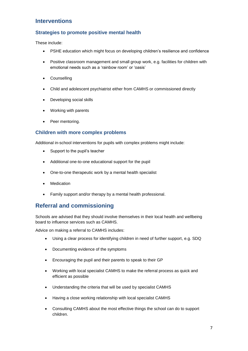## <span id="page-6-0"></span>**Interventions**

#### **Strategies to promote positive mental health**

These include:

- PSHE education which might focus on developing children's resilience and confidence
- Positive classroom management and small group work, e.g. facilities for children with emotional needs such as a 'rainbow room' or 'oasis'
- Counselling
- Child and adolescent psychiatrist either from CAMHS or commissioned directly
- Developing social skills
- Working with parents
- Peer mentoring.

#### **Children with more complex problems**

Additional in-school interventions for pupils with complex problems might include:

- Support to the pupil's teacher
- Additional one-to-one educational support for the pupil
- One-to-one therapeutic work by a mental health specialist
- Medication
- Family support and/or therapy by a mental health professional.

### <span id="page-6-1"></span>**Referral and commissioning**

Schools are advised that they should involve themselves in their local health and wellbeing board to influence services such as CAMHS.

Advice on making a referral to CAMHS includes:

- Using a clear process for identifying children in need of further support, e.g. SDQ
- Documenting evidence of the symptoms
- Encouraging the pupil and their parents to speak to their GP
- Working with local specialist CAMHS to make the referral process as quick and efficient as possible
- Understanding the criteria that will be used by specialist CAMHS
- Having a close working relationship with local specialist CAMHS
- Consulting CAMHS about the most effective things the school can do to support children.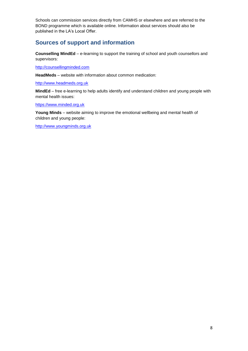Schools can commission services directly from CAMHS or elsewhere and are referred to the BOND programme which is available online. Information about services should also be published in the LA's Local Offer.

### <span id="page-7-0"></span>**Sources of support and information**

**Counselling MindEd** – e-learning to support the training of school and youth counsellors and supervisors:

[http://counsellingminded.com](http://counsellingminded.com/)

**HeadMeds** – website with information about common medication:

[http://www.headmeds.org.uk](http://www.headmeds.org.uk/)

**MindEd** – free e-learning to help adults identify and understand children and young people with mental health issues:

[https://www.minded.org.uk](https://www.minded.org.uk/)

**Young Minds** – website aiming to improve the emotional wellbeing and mental health of children and young people:

[http://www.youngminds.org.uk](http://www.youngminds.org.uk/)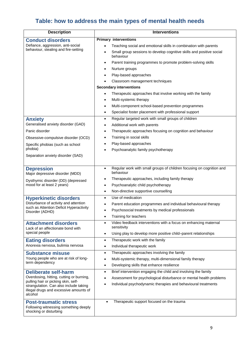# <span id="page-8-0"></span>**Table: how to address the main types of mental health needs**

| <b>Description</b>                                                               | <b>Interventions</b>                                                                           |
|----------------------------------------------------------------------------------|------------------------------------------------------------------------------------------------|
| <b>Conduct disorders</b>                                                         | <b>Primary interventions</b>                                                                   |
| Defiance, aggression, anti-social                                                | Teaching social and emotional skills in combination with parents                               |
| behaviour, stealing and fire-setting                                             | Small group sessions to develop cognitive skills and positive social<br>behaviour              |
|                                                                                  | Parent training programmes to promote problem-solving skills                                   |
|                                                                                  | Nurture groups                                                                                 |
|                                                                                  | Play-based approaches                                                                          |
|                                                                                  | Classroom management techniques                                                                |
|                                                                                  | <b>Secondary interventions</b>                                                                 |
|                                                                                  | Therapeutic approaches that involve working with the family                                    |
|                                                                                  | Multi-systemic therapy                                                                         |
|                                                                                  | Multi-component school-based prevention programmes                                             |
|                                                                                  | Specialist foster placement with professional support                                          |
| <b>Anxiety</b>                                                                   | Regular targeted work with small groups of children<br>$\bullet$                               |
| Generalised anxiety disorder (GAD)                                               | Additional work with parents                                                                   |
| Panic disorder                                                                   | Therapeutic approaches focusing on cognition and behaviour                                     |
| Obsessive-compulsive disorder (OCD)                                              | Training in social skills                                                                      |
| Specific phobias (such as school                                                 | Play-based approaches                                                                          |
| phobia)                                                                          | Psychoanalytic family psychotherapy                                                            |
| Separation anxiety disorder (SAD)                                                |                                                                                                |
|                                                                                  |                                                                                                |
| <b>Depression</b><br>Major depressive disorder (MDD)                             | Regular work with small groups of children focusing on cognition and<br>$\bullet$<br>behaviour |
|                                                                                  | Therapeutic approaches, including family therapy                                               |
| Dysthymic disorder (DD) (depressed<br>mood for at least 2 years)                 | Psychoanalytic child psychotherapy<br>$\bullet$                                                |
|                                                                                  | Non-directive supportive counselling<br>$\bullet$                                              |
| <b>Hyperkinetic disorders</b>                                                    | Use of medication<br>$\bullet$                                                                 |
| Disturbance of activity and attention                                            | Parent education programmes and individual behavioural therapy                                 |
| such as Attention Deficit Hyperactivity<br>Disorder (ADHD)                       | Psychosocial treatments by medical professionals<br>$\bullet$                                  |
|                                                                                  | Training for teachers<br>$\bullet$                                                             |
| <b>Attachment disorders</b>                                                      | Video feedback interventions with a focus on enhancing maternal<br>$\bullet$                   |
| Lack of an affectionate bond with                                                | sensitivity                                                                                    |
| special people                                                                   | Using play to develop more positive child-parent relationships<br>$\bullet$                    |
| <b>Eating disorders</b>                                                          | Therapeutic work with the family<br>$\bullet$                                                  |
| Anorexia nervosa, bulimia nervosa                                                | Individual therapeutic work<br>$\bullet$                                                       |
| <b>Substance misuse</b>                                                          | Therapeutic approaches involving the family<br>$\bullet$                                       |
| Young people who are at risk of long-<br>term dependency                         | Multi-systemic therapy, multi-dimensional family therapy                                       |
|                                                                                  | Developing skills that enhance resilience<br>$\bullet$                                         |
| <b>Deliberate self-harm</b><br>Overdosing, hitting, cutting or burning,          | Brief intervention engaging the child and involving the family<br>$\bullet$                    |
| pulling hair or picking skin, self-                                              | Assessment for psychological disturbance or mental health problems<br>$\bullet$                |
| strangulation. Can also include taking<br>illegal drugs and excessive amounts of | Individual psychodynamic therapies and behavioural treatments                                  |
| alcohol                                                                          |                                                                                                |
| <b>Post-traumatic stress</b>                                                     | Therapeutic support focused on the trauma<br>$\bullet$                                         |
| Following witnessing something deeply                                            |                                                                                                |
| shocking or disturbing                                                           |                                                                                                |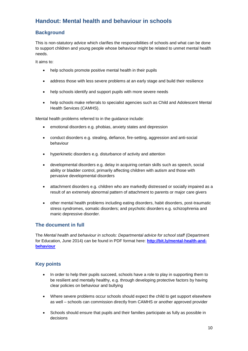## <span id="page-9-0"></span>**Handout: Mental health and behaviour in schools**

### **Background**

This is non-statutory advice which clarifies the responsibilities of schools and what can be done to support children and young people whose behaviour might be related to unmet mental health needs.

It aims to:

- help schools promote positive mental health in their pupils
- address those with less severe problems at an early stage and build their resilience
- help schools identify and support pupils with more severe needs
- help schools make referrals to specialist agencies such as Child and Adolescent Mental Health Services (CAMHS).

Mental health problems referred to in the guidance include:

- emotional disorders e.g. phobias, anxiety states and depression
- conduct disorders e.g. stealing, defiance, fire-setting, aggression and anti-social behaviour
- hyperkinetic disorders e.g. disturbance of activity and attention
- developmental disorders e.g. delay in acquiring certain skills such as speech, social ability or bladder control, primarily affecting children with autism and those with pervasive developmental disorders
- attachment disorders e.g. children who are markedly distressed or socially impaired as a result of an extremely abnormal pattern of attachment to parents or major care givers
- other mental health problems including eating disorders, habit disorders, post-traumatic stress syndromes, somatic disorders; and psychotic disorders e.g. schizophrenia and manic depressive disorder.

#### **The document in full**

The *Mental health and behaviour in schools: Departmental advice for school staff* (Department for Education, June 2014) can be found in PDF format here: **[http://bit.ly/mental-health-and](http://bit.ly/mental-health-and-behaviour)[behaviour](http://bit.ly/mental-health-and-behaviour)**

### **Key points**

- In order to help their pupils succeed, schools have a role to play in supporting them to be resilient and mentally healthy, e.g. through developing protective factors by having clear policies on behaviour and bullying
- Where severe problems occur schools should expect the child to get support elsewhere as well – schools can commission directly from CAMHS or another approved provider
- Schools should ensure that pupils and their families participate as fully as possible in decisions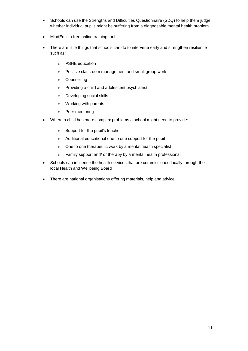- Schools can use the Strengths and Difficulties Questionnaire (SDQ) to help them judge whether individual pupils might be suffering from a diagnosable mental health problem
- MindEd is a free online training tool
- There are little things that schools can do to intervene early and strengthen resilience such as:
	- o PSHE education
	- o Positive classroom management and small group work
	- o Counselling
	- o Providing a child and adolescent psychiatrist
	- o Developing social skills
	- o Working with parents
	- o Peer mentoring
- Where a child has more complex problems a school might need to provide:
	- o Support for the pupil's teacher
	- o Additional educational one to one support for the pupil
	- o One to one therapeutic work by a mental health specialist
	- o Family support and/ or therapy by a mental health professional
- Schools can influence the health services that are commissioned locally through their local Health and Wellbeing Board
- There are national organisations offering materials, help and advice